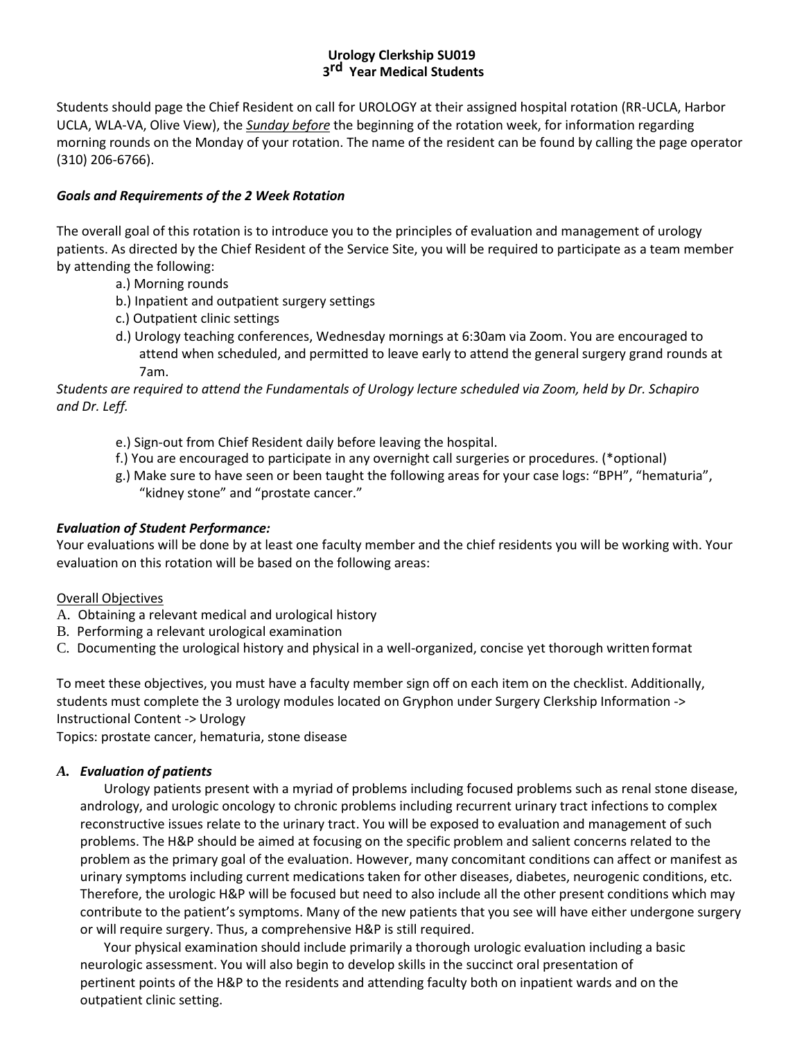# **Urology Clerkship SU019 3 rd Year Medical Students**

Students should page the Chief Resident on call for UROLOGY at their assigned hospital rotation (RR-UCLA, Harbor UCLA, WLA-VA, Olive View), the *Sunday before* the beginning of the rotation week, for information regarding morning rounds on the Monday of your rotation. The name of the resident can be found by calling the page operator (310) 206-6766).

## *Goals and Requirements of the 2 Week Rotation*

The overall goal of this rotation is to introduce you to the principles of evaluation and management of urology patients. As directed by the Chief Resident of the Service Site, you will be required to participate as a team member by attending the following:

- a.) Morning rounds
- b.) Inpatient and outpatient surgery settings
- c.) Outpatient clinic settings
- d.) Urology teaching conferences, Wednesday mornings at 6:30am via Zoom. You are encouraged to attend when scheduled, and permitted to leave early to attend the general surgery grand rounds at 7am.

*Students are required to attend the Fundamentals of Urology lecture scheduled via Zoom, held by Dr. Schapiro and Dr. Leff.*

- e.) Sign-out from Chief Resident daily before leaving the hospital.
- f.) You are encouraged to participate in any overnight call surgeries or procedures. (\*optional)
- g.) Make sure to have seen or been taught the following areas for your case logs: "BPH", "hematuria", "kidney stone" and "prostate cancer."

#### *Evaluation of Student Performance:*

Your evaluations will be done by at least one faculty member and the chief residents you will be working with. Your evaluation on this rotation will be based on the following areas:

# Overall Objectives

- A. Obtaining a relevant medical and urological history
- B. Performing a relevant urological examination
- C. Documenting the urological history and physical in a well-organized, concise yet thorough written format

To meet these objectives, you must have a faculty member sign off on each item on the checklist. Additionally, students must complete the 3 urology modules located on Gryphon under Surgery Clerkship Information -> Instructional Content -> Urology

Topics: prostate cancer, hematuria, stone disease

#### *A. Evaluation of patients*

Urology patients present with a myriad of problems including focused problems such as renal stone disease, andrology, and urologic oncology to chronic problems including recurrent urinary tract infections to complex reconstructive issues relate to the urinary tract. You will be exposed to evaluation and management of such problems. The H&P should be aimed at focusing on the specific problem and salient concerns related to the problem as the primary goal of the evaluation. However, many concomitant conditions can affect or manifest as urinary symptoms including current medications taken for other diseases, diabetes, neurogenic conditions, etc. Therefore, the urologic H&P will be focused but need to also include all the other present conditions which may contribute to the patient's symptoms. Many of the new patients that you see will have either undergone surgery or will require surgery. Thus, a comprehensive H&P is still required.

Your physical examination should include primarily a thorough urologic evaluation including a basic neurologic assessment. You will also begin to develop skills in the succinct oral presentation of pertinent points of the H&P to the residents and attending faculty both on inpatient wards and on the outpatient clinic setting.